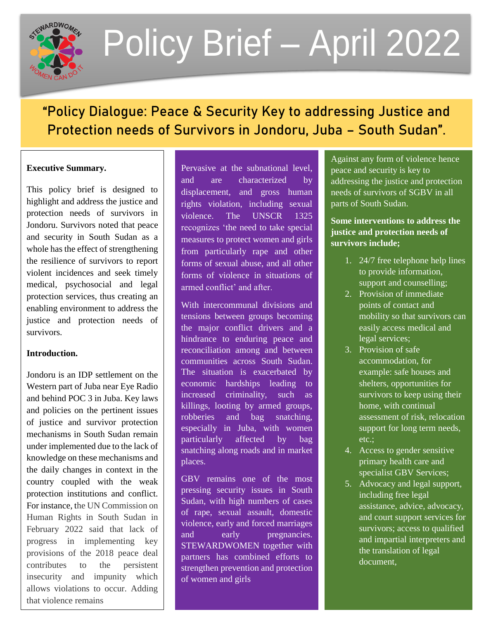

# Policy Brief – April 2022

# "Policy Dialogue: Peace & Security Key to addressing Justice and Protection needs of Survivors in Jondoru, Juba – South Sudan".

# **Executive Summary.**

This policy brief is designed to highlight and address the justice and protection needs of survivors in Jondoru. Survivors noted that peace and security in South Sudan as a whole has the effect of strengthening the resilience of survivors to report violent incidences and seek timely medical, psychosocial and legal protection services, thus creating an enabling environment to address the justice and protection needs of survivors.

# **Introduction.**

Jondoru is an IDP settlement on the Western part of Juba near Eye Radio and behind POC 3 in Juba. Key laws and policies on the pertinent issues of justice and survivor protection mechanisms in South Sudan remain under implemented due to the lack of knowledge on these mechanisms and the daily changes in context in the country coupled with the weak protection institutions and conflict. For instance, the UN Commission on Human Rights in South Sudan in February 2022 said that lack of progress in implementing key provisions of the 2018 peace deal contributes to the persistent insecurity and impunity which allows violations to occur. Adding that violence remains

Pervasive at the subnational level, and are characterized by displacement, and gross human rights violation, including sexual violence. The UNSCR 1325 recognizes 'the need to take special measures to protect women and girls from particularly rape and other forms of sexual abuse, and all other forms of violence in situations of armed conflict' and after.

With intercommunal divisions and tensions between groups becoming the major conflict drivers and a hindrance to enduring peace and reconciliation among and between communities across South Sudan. The situation is exacerbated by economic hardships leading to increased criminality, such as killings, looting by armed groups, robberies and bag snatching, especially in Juba, with women particularly affected by bag snatching along roads and in market places.

1 of women and girls GBV remains one of the most pressing security issues in South Sudan, with high numbers of cases of rape, sexual assault, domestic violence, early and forced marriages and early pregnancies. STEWARDWOMEN together with partners has combined efforts to strengthen prevention and protection peace and security is key to addressing the justice and protection needs of survivors of SGBV in all parts of South Sudan. Against any form of violence hence

**Some interventions to address the Survivors include; justice and protection needs of** 

- 1. 24/7 free telephone help lines to provide information, support and counselling;
	- <sup>2</sup>. Provision of immediate points of contact and mobility so that survivors can easily access medical and legal services;
	- $3.$  Provision of safe accommodation, for example: safe houses and shelters, opportunities for survivors to keep using their home, with continual assessment of risk, relocation support for long term needs,  $\text{etc.};$ etc.;
	- 4. Access to gender sensitive primary health care and specialist GBV Services;
	- 5. Advocacy and legal support, menduing nee legal<br>assistance, advice, advocacy, assistance, advice, advocacy,<br>and court support services for and court support set rices for<br>survivors; access to qualified and impartial interpreters and  $\frac{1}{2}$  the translation of legal document, including free legal